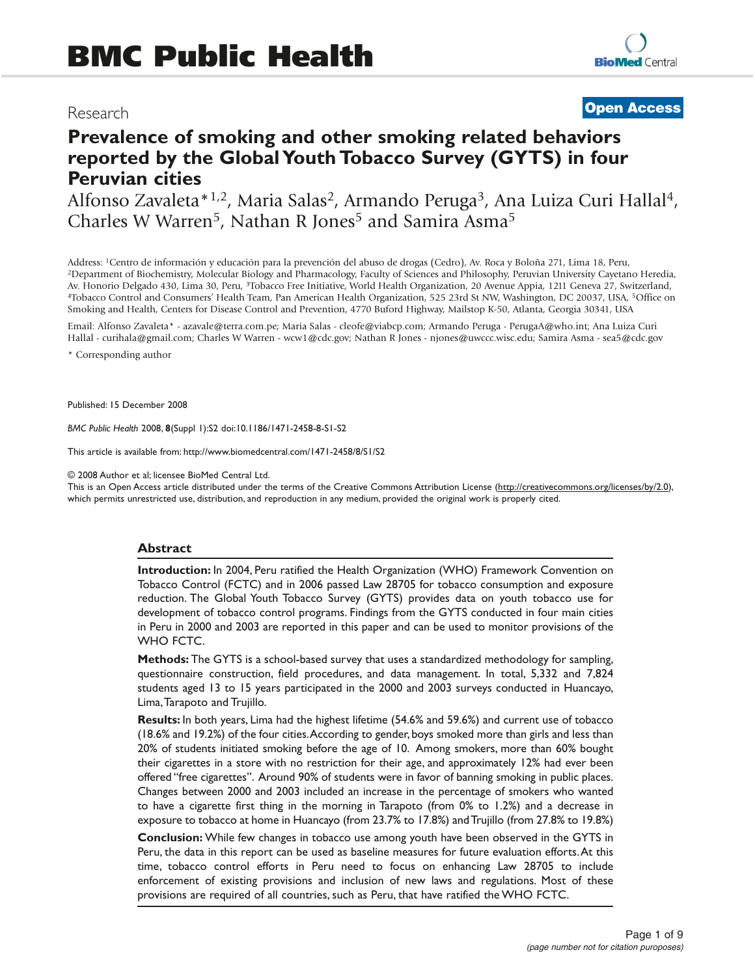# Research

# **Open Access**

# **Prevalence of smoking and other smoking related behaviors reported by the Global Youth Tobacco Survey (GYTS) in four Peruvian cities**

Alfonso Zavaleta\*<sup>1,2</sup>, Maria Salas<sup>2</sup>, Armando Peruga<sup>3</sup>, Ana Luiza Curi Hallal<sup>4</sup>, Charles W Warren<sup>5</sup>, Nathan R Jones<sup>5</sup> and Samira Asma<sup>5</sup>

Address: 1Centro de información y educación para la prevención del abuso de drogas (Cedro), Av. Roca y Boloña 271, Lima 18, Peru, 2Department of Biochemistry, Molecular Biology and Pharmacology, Faculty of Sciences and Philosophy, Peruvian University Cayetano Heredia, Av. Honorio Delgado 430, Lima 30, Peru, <sup>3</sup>Tobacco Free Initiative, World Health Organization, 20 Avenue Appia, 1211 Geneva 27, Switzerland, 4Tobacco Control and Consumers' Health Team, Pan American Health Organization, 525 23rd St NW, Washington, DC 20037, USA, 5Office on Smoking and Health, Centers for Disease Control and Prevention, 4770 Buford Highway, Mailstop K-50, Atlanta, Georgia 30341, USA

Email: Alfonso Zavaleta\* - azavale@terra.com.pe; Maria Salas - cleofe@viabcp.com; Armando Peruga - PerugaA@who.int; Ana Luiza Curi Hallal - curihala@gmail.com; Charles W Warren - wcw1@cdc.gov; Nathan R Jones - njones@uwccc.wisc.edu; Samira Asma - sea5@cdc.gov

\* Corresponding author

Published: 15 December 2008

*BMC Public Health* 2008, **8**(Suppl 1):S2 doi:10.1186/1471-2458-8-S1-S2

This article is available from: http://www.biomedcentral.com/1471-2458/8/S1/S2

© 2008 Author et al; licensee BioMed Central Ltd.

This is an Open Access article distributed under the terms of the Creative Commons Attribution License (http://creativecommons.org/licenses/by/2.0), which permits unrestricted use, distribution, and reproduction in any medium, provided the original work is properly cited.

#### **Abstract**

**Introduction:** In 2004, Peru ratified the Health Organization (WHO) Framework Convention on Tobacco Control (FCTC) and in 2006 passed Law 28705 for tobacco consumption and exposure reduction. The Global Youth Tobacco Survey (GYTS) provides data on youth tobacco use for development of tobacco control programs. Findings from the GYTS conducted in four main cities in Peru in 2000 and 2003 are reported in this paper and can be used to monitor provisions of the WHO FCTC.

**Methods:** The GYTS is a school-based survey that uses a standardized methodology for sampling, questionnaire construction, field procedures, and data management. In total, 5,332 and 7,824 students aged 13 to 15 years participated in the 2000 and 2003 surveys conducted in Huancayo, Lima,Tarapoto and Trujillo.

**Results:** In both years, Lima had the highest lifetime (54.6% and 59.6%) and current use of tobacco (18.6% and 19.2%) of the four cities.According to gender, boys smoked more than girls and less than 20% of students initiated smoking before the age of 10. Among smokers, more than 60% bought their cigarettes in a store with no restriction for their age, and approximately 12% had ever been offered "free cigarettes". Around 90% of students were in favor of banning smoking in public places. Changes between 2000 and 2003 included an increase in the percentage of smokers who wanted to have a cigarette first thing in the morning in Tarapoto (from 0% to 1.2%) and a decrease in exposure to tobacco at home in Huancayo (from 23.7% to 17.8%) and Trujillo (from 27.8% to 19.8%)

**Conclusion:** While few changes in tobacco use among youth have been observed in the GYTS in Peru, the data in this report can be used as baseline measures for future evaluation efforts.At this time, tobacco control efforts in Peru need to focus on enhancing Law 28705 to include enforcement of existing provisions and inclusion of new laws and regulations. Most of these provisions are required of all countries, such as Peru, that have ratified the WHO FCTC.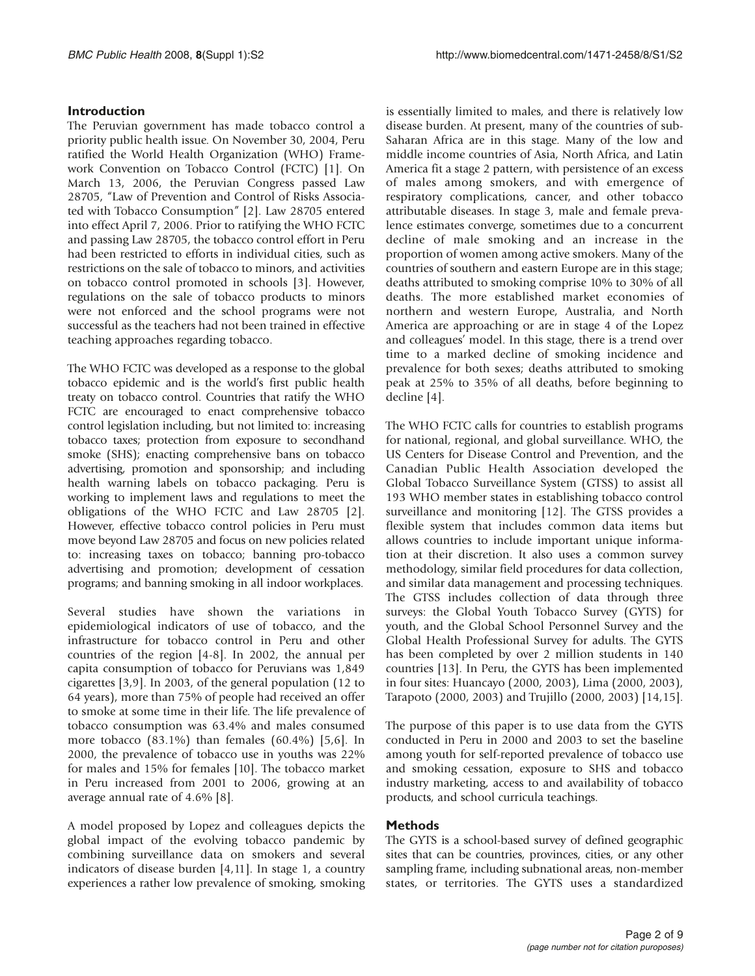## **Introduction**

The Peruvian government has made tobacco control a priority public health issue. On November 30, 2004, Peru ratified the World Health Organization (WHO) Framework Convention on Tobacco Control (FCTC) [1]. On March 13, 2006, the Peruvian Congress passed Law 28705, "Law of Prevention and Control of Risks Associated with Tobacco Consumption" [2]. Law 28705 entered into effect April 7, 2006. Prior to ratifying the WHO FCTC and passing Law 28705, the tobacco control effort in Peru had been restricted to efforts in individual cities, such as restrictions on the sale of tobacco to minors, and activities on tobacco control promoted in schools [3]. However, regulations on the sale of tobacco products to minors were not enforced and the school programs were not successful as the teachers had not been trained in effective teaching approaches regarding tobacco.

The WHO FCTC was developed as a response to the global tobacco epidemic and is the world's first public health treaty on tobacco control. Countries that ratify the WHO FCTC are encouraged to enact comprehensive tobacco control legislation including, but not limited to: increasing tobacco taxes; protection from exposure to secondhand smoke (SHS); enacting comprehensive bans on tobacco advertising, promotion and sponsorship; and including health warning labels on tobacco packaging. Peru is working to implement laws and regulations to meet the obligations of the WHO FCTC and Law 28705 [2]. However, effective tobacco control policies in Peru must move beyond Law 28705 and focus on new policies related to: increasing taxes on tobacco; banning pro-tobacco advertising and promotion; development of cessation programs; and banning smoking in all indoor workplaces.

Several studies have shown the variations in epidemiological indicators of use of tobacco, and the infrastructure for tobacco control in Peru and other countries of the region [4-8]. In 2002, the annual per capita consumption of tobacco for Peruvians was 1,849 cigarettes [3,9]. In 2003, of the general population (12 to 64 years), more than 75% of people had received an offer to smoke at some time in their life. The life prevalence of tobacco consumption was 63.4% and males consumed more tobacco (83.1%) than females (60.4%) [5,6]. In 2000, the prevalence of tobacco use in youths was 22% for males and 15% for females [10]. The tobacco market in Peru increased from 2001 to 2006, growing at an average annual rate of 4.6% [8].

A model proposed by Lopez and colleagues depicts the global impact of the evolving tobacco pandemic by combining surveillance data on smokers and several indicators of disease burden [4,11]. In stage 1, a country experiences a rather low prevalence of smoking, smoking is essentially limited to males, and there is relatively low disease burden. At present, many of the countries of sub-Saharan Africa are in this stage. Many of the low and middle income countries of Asia, North Africa, and Latin America fit a stage 2 pattern, with persistence of an excess of males among smokers, and with emergence of respiratory complications, cancer, and other tobacco attributable diseases. In stage 3, male and female prevalence estimates converge, sometimes due to a concurrent decline of male smoking and an increase in the proportion of women among active smokers. Many of the countries of southern and eastern Europe are in this stage; deaths attributed to smoking comprise 10% to 30% of all deaths. The more established market economies of northern and western Europe, Australia, and North America are approaching or are in stage 4 of the Lopez and colleagues' model. In this stage, there is a trend over time to a marked decline of smoking incidence and prevalence for both sexes; deaths attributed to smoking peak at 25% to 35% of all deaths, before beginning to decline [4].

The WHO FCTC calls for countries to establish programs for national, regional, and global surveillance. WHO, the US Centers for Disease Control and Prevention, and the Canadian Public Health Association developed the Global Tobacco Surveillance System (GTSS) to assist all 193 WHO member states in establishing tobacco control surveillance and monitoring [12]. The GTSS provides a flexible system that includes common data items but allows countries to include important unique information at their discretion. It also uses a common survey methodology, similar field procedures for data collection, and similar data management and processing techniques. The GTSS includes collection of data through three surveys: the Global Youth Tobacco Survey (GYTS) for youth, and the Global School Personnel Survey and the Global Health Professional Survey for adults. The GYTS has been completed by over 2 million students in 140 countries [13]. In Peru, the GYTS has been implemented in four sites: Huancayo (2000, 2003), Lima (2000, 2003), Tarapoto (2000, 2003) and Trujillo (2000, 2003) [14,15].

The purpose of this paper is to use data from the GYTS conducted in Peru in 2000 and 2003 to set the baseline among youth for self-reported prevalence of tobacco use and smoking cessation, exposure to SHS and tobacco industry marketing, access to and availability of tobacco products, and school curricula teachings.

## **Methods**

The GYTS is a school-based survey of defined geographic sites that can be countries, provinces, cities, or any other sampling frame, including subnational areas, non-member states, or territories. The GYTS uses a standardized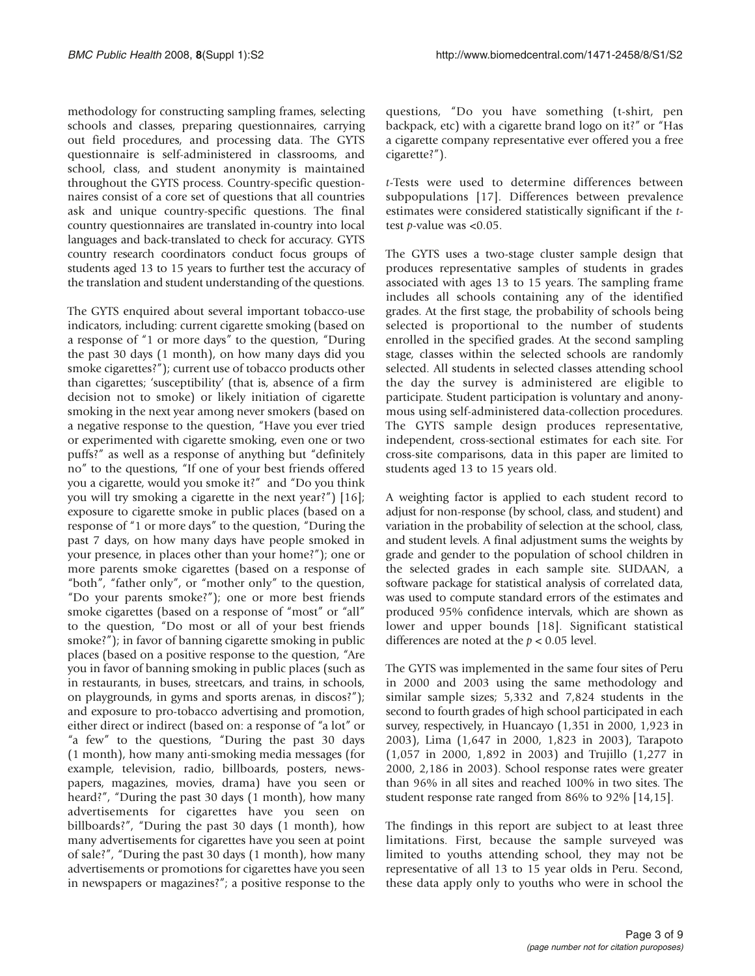methodology for constructing sampling frames, selecting schools and classes, preparing questionnaires, carrying out field procedures, and processing data. The GYTS questionnaire is self-administered in classrooms, and school, class, and student anonymity is maintained throughout the GYTS process. Country-specific questionnaires consist of a core set of questions that all countries ask and unique country-specific questions. The final country questionnaires are translated in-country into local languages and back-translated to check for accuracy. GYTS country research coordinators conduct focus groups of students aged 13 to 15 years to further test the accuracy of the translation and student understanding of the questions.

The GYTS enquired about several important tobacco-use indicators, including: current cigarette smoking (based on a response of "1 or more days" to the question, "During the past 30 days (1 month), on how many days did you smoke cigarettes?"); current use of tobacco products other than cigarettes; 'susceptibility' (that is, absence of a firm decision not to smoke) or likely initiation of cigarette smoking in the next year among never smokers (based on a negative response to the question, "Have you ever tried or experimented with cigarette smoking, even one or two puffs?" as well as a response of anything but "definitely no" to the questions, "If one of your best friends offered you a cigarette, would you smoke it?" and "Do you think you will try smoking a cigarette in the next year?") [16]; exposure to cigarette smoke in public places (based on a response of "1 or more days" to the question, "During the past 7 days, on how many days have people smoked in your presence, in places other than your home?"); one or more parents smoke cigarettes (based on a response of "both", "father only", or "mother only" to the question, "Do your parents smoke?"); one or more best friends smoke cigarettes (based on a response of "most" or "all" to the question, "Do most or all of your best friends smoke?"); in favor of banning cigarette smoking in public places (based on a positive response to the question, "Are you in favor of banning smoking in public places (such as in restaurants, in buses, streetcars, and trains, in schools, on playgrounds, in gyms and sports arenas, in discos?"); and exposure to pro-tobacco advertising and promotion, either direct or indirect (based on: a response of "a lot" or "a few" to the questions, "During the past 30 days (1 month), how many anti-smoking media messages (for example, television, radio, billboards, posters, newspapers, magazines, movies, drama) have you seen or heard?", "During the past 30 days (1 month), how many advertisements for cigarettes have you seen on billboards?", "During the past 30 days (1 month), how many advertisements for cigarettes have you seen at point of sale?", "During the past 30 days (1 month), how many advertisements or promotions for cigarettes have you seen in newspapers or magazines?"; a positive response to the

questions, "Do you have something (t-shirt, pen backpack, etc) with a cigarette brand logo on it?" or "Has a cigarette company representative ever offered you a free cigarette?").

t-Tests were used to determine differences between subpopulations [17]. Differences between prevalence estimates were considered statistically significant if the ttest p-value was <0.05.

The GYTS uses a two-stage cluster sample design that produces representative samples of students in grades associated with ages 13 to 15 years. The sampling frame includes all schools containing any of the identified grades. At the first stage, the probability of schools being selected is proportional to the number of students enrolled in the specified grades. At the second sampling stage, classes within the selected schools are randomly selected. All students in selected classes attending school the day the survey is administered are eligible to participate. Student participation is voluntary and anonymous using self-administered data-collection procedures. The GYTS sample design produces representative, independent, cross-sectional estimates for each site. For cross-site comparisons, data in this paper are limited to students aged 13 to 15 years old.

A weighting factor is applied to each student record to adjust for non-response (by school, class, and student) and variation in the probability of selection at the school, class, and student levels. A final adjustment sums the weights by grade and gender to the population of school children in the selected grades in each sample site. SUDAAN, a software package for statistical analysis of correlated data, was used to compute standard errors of the estimates and produced 95% confidence intervals, which are shown as lower and upper bounds [18]. Significant statistical differences are noted at the  $p < 0.05$  level.

The GYTS was implemented in the same four sites of Peru in 2000 and 2003 using the same methodology and similar sample sizes; 5,332 and 7,824 students in the second to fourth grades of high school participated in each survey, respectively, in Huancayo (1,351 in 2000, 1,923 in 2003), Lima (1,647 in 2000, 1,823 in 2003), Tarapoto (1,057 in 2000, 1,892 in 2003) and Trujillo (1,277 in 2000, 2,186 in 2003). School response rates were greater than 96% in all sites and reached 100% in two sites. The student response rate ranged from 86% to 92% [14,15].

The findings in this report are subject to at least three limitations. First, because the sample surveyed was limited to youths attending school, they may not be representative of all 13 to 15 year olds in Peru. Second, these data apply only to youths who were in school the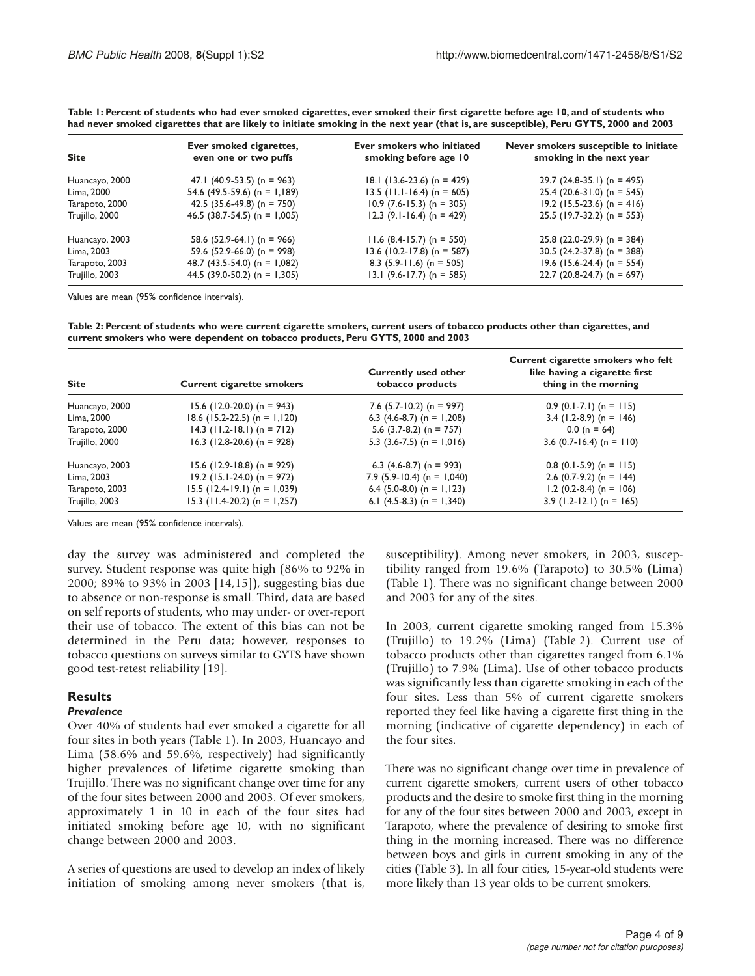| <b>Site</b>    | Ever smoked cigarettes,<br>even one or two puffs | Ever smokers who initiated<br>smoking before age 10 | Never smokers susceptible to initiate<br>smoking in the next year |
|----------------|--------------------------------------------------|-----------------------------------------------------|-------------------------------------------------------------------|
| Huancayo, 2000 | 47.1 $(40.9-53.5)$ (n = 963)                     | $18.1$ (13.6-23.6) (n = 429)                        | 29.7 $(24.8-35.1)$ (n = 495)                                      |
| Lima, 2000     | 54.6 (49.5-59.6) (n = 1,189)                     | 13.5 (11.1-16.4) (n = 605)                          | $25.4$ (20.6-31.0) (n = 545)                                      |
| Tarapoto, 2000 | 42.5 (35.6-49.8) (n = 750)                       | $10.9$ (7.6-15.3) (n = 305)                         | $19.2$ (15.5-23.6) (n = 416)                                      |
| Trujillo, 2000 | 46.5 (38.7-54.5) (n = $1,005$ )                  | $12.3$ (9.1-16.4) (n = 429)                         | $25.5$ (19.7-32.2) (n = 553)                                      |
| Huancayo, 2003 | 58.6 $(52.9-64.1)$ (n = 966)                     | $11.6$ (8.4-15.7) (n = 550)                         | $25.8$ (22.0-29.9) (n = 384)                                      |
| Lima, 2003     | 59.6 $(52.9-66.0)$ (n = 998)                     | $13.6$ (10.2-17.8) (n = 587)                        | 30.5 $(24.2 - 37.8)$ (n = 388)                                    |
| Tarapoto, 2003 | 48.7 $(43.5-54.0)$ (n = 1,082)                   | 8.3 $(5.9 - 11.6)$ (n = 505)                        | $19.6$ (15.6-24.4) (n = 554)                                      |
| Trujillo, 2003 | 44.5 (39.0-50.2) (n = 1,305)                     | 13.1 (9.6-17.7) (n = 585)                           | 22.7 (20.8-24.7) (n = 697)                                        |

**Table 1: Percent of students who had ever smoked cigarettes, ever smoked their first cigarette before age 10, and of students who had never smoked cigarettes that are likely to initiate smoking in the next year (that is, are susceptible), Peru GYTS, 2000 and 2003**

Values are mean (95% confidence intervals).

**Table 2: Percent of students who were current cigarette smokers, current users of tobacco products other than cigarettes, and current smokers who were dependent on tobacco products, Peru GYTS, 2000 and 2003**

| <b>Site</b>    | <b>Current cigarette smokers</b> | <b>Currently used other</b><br>tobacco products | Current cigarette smokers who felt<br>like having a cigarette first<br>thing in the morning |
|----------------|----------------------------------|-------------------------------------------------|---------------------------------------------------------------------------------------------|
| Huancayo, 2000 | $15.6$ (12.0-20.0) (n = 943)     | 7.6 $(5.7 - 10.2)$ (n = 997)                    | $0.9$ (0.1-7.1) (n = 115)                                                                   |
| Lima, 2000     | $18.6$ (15.2-22.5) (n = 1,120)   | 6.3 $(4.6-8.7)$ (n = 1,208)                     | 3.4 $(1.2-8.9)$ (n = 146)                                                                   |
| Tarapoto, 2000 | $14.3$ (11.2-18.1) (n = 712)     | 5.6 $(3.7-8.2)$ (n = 757)                       | $0.0(n = 64)$                                                                               |
| Trujillo, 2000 | $16.3$ (12.8-20.6) (n = 928)     | 5.3 $(3.6-7.5)$ (n = 1,016)                     | 3.6 $(0.7 - 16.4)$ (n = 110)                                                                |
| Huancayo, 2003 | $15.6$ (12.9-18.8) (n = 929)     | 6.3 $(4.6-8.7)$ (n = 993)                       | $0.8$ (0.1-5.9) (n = 115)                                                                   |
| Lima, 2003     | $19.2$ (15.1-24.0) (n = 972)     | 7.9 $(5.9 - 10.4)$ (n = 1,040)                  | 2.6 $(0.7-9.2)$ (n = 144)                                                                   |
| Tarapoto, 2003 | $15.5$ (12.4-19.1) (n = 1,039)   | 6.4 $(5.0-8.0)$ (n = 1,123)                     | $1.2$ (0.2-8.4) (n = 106)                                                                   |
| Trujillo, 2003 | $15.3$ (11.4-20.2) (n = 1,257)   | 6.1 $(4.5-8.3)$ (n = 1,340)                     | $3.9$ (1.2-12.1) (n = 165)                                                                  |

Values are mean (95% confidence intervals).

day the survey was administered and completed the survey. Student response was quite high (86% to 92% in 2000; 89% to 93% in 2003 [14,15]), suggesting bias due to absence or non-response is small. Third, data are based on self reports of students, who may under- or over-report their use of tobacco. The extent of this bias can not be determined in the Peru data; however, responses to tobacco questions on surveys similar to GYTS have shown good test-retest reliability [19].

#### **Results**

#### *Prevalence*

Over 40% of students had ever smoked a cigarette for all four sites in both years (Table 1). In 2003, Huancayo and Lima (58.6% and 59.6%, respectively) had significantly higher prevalences of lifetime cigarette smoking than Trujillo. There was no significant change over time for any of the four sites between 2000 and 2003. Of ever smokers, approximately 1 in 10 in each of the four sites had initiated smoking before age 10, with no significant change between 2000 and 2003.

A series of questions are used to develop an index of likely initiation of smoking among never smokers (that is, susceptibility). Among never smokers, in 2003, susceptibility ranged from 19.6% (Tarapoto) to 30.5% (Lima) (Table 1). There was no significant change between 2000 and 2003 for any of the sites.

In 2003, current cigarette smoking ranged from 15.3% (Trujillo) to 19.2% (Lima) (Table 2). Current use of tobacco products other than cigarettes ranged from 6.1% (Trujillo) to 7.9% (Lima). Use of other tobacco products was significantly less than cigarette smoking in each of the four sites. Less than 5% of current cigarette smokers reported they feel like having a cigarette first thing in the morning (indicative of cigarette dependency) in each of the four sites.

There was no significant change over time in prevalence of current cigarette smokers, current users of other tobacco products and the desire to smoke first thing in the morning for any of the four sites between 2000 and 2003, except in Tarapoto, where the prevalence of desiring to smoke first thing in the morning increased. There was no difference between boys and girls in current smoking in any of the cities (Table 3). In all four cities, 15-year-old students were more likely than 13 year olds to be current smokers.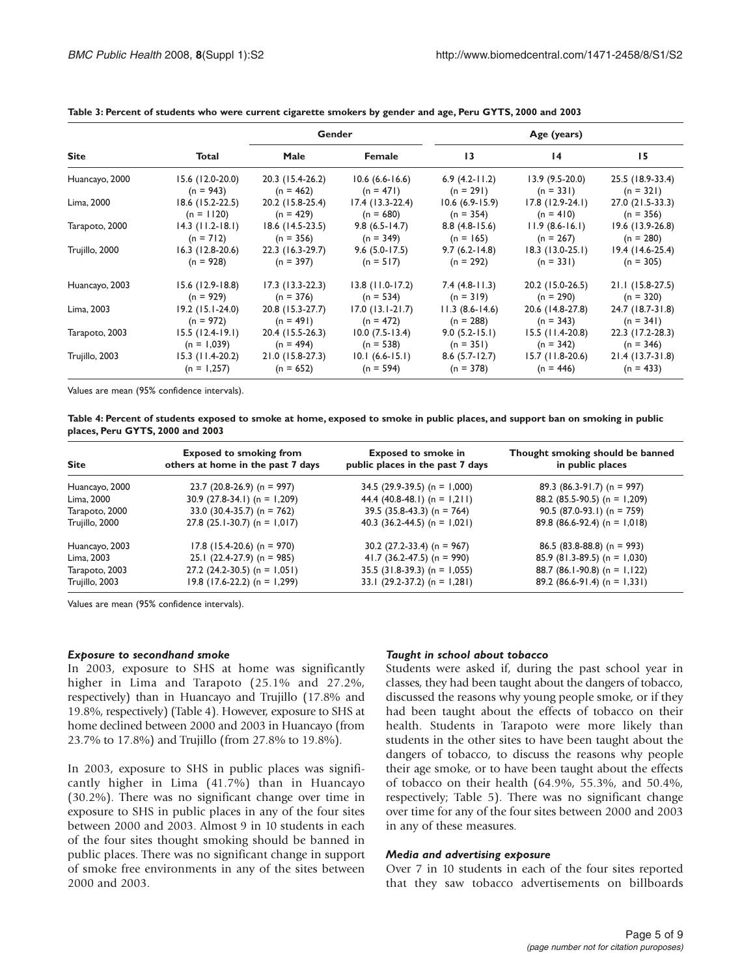|                |                    | Gender             |                     | Age (years)       |                    |                    |
|----------------|--------------------|--------------------|---------------------|-------------------|--------------------|--------------------|
| <b>Site</b>    | <b>Total</b>       | Male               | Female              | 13                | $\overline{14}$    | 15                 |
| Huancayo, 2000 | 15.6 (12.0-20.0)   | 20.3 (15.4-26.2)   | $10.6(6.6-16.6)$    | $6.9(4.2-11.2)$   | $13.9(9.5-20.0)$   | 25.5 (18.9-33.4)   |
|                | $(n = 943)$        | $(n = 462)$        | $(n = 471)$         | $(n = 291)$       | $(n = 331)$        | $(n = 321)$        |
| Lima, 2000     | $18.6$ (15.2-22.5) | 20.2 (15.8-25.4)   | $17.4$ (13.3-22.4)  | $10.6(6.9-15.9)$  | 17.8 (12.9-24.1)   | 27.0 (21.5-33.3)   |
|                | $(n = 1120)$       | $(n = 429)$        | $(n = 680)$         | $(n = 354)$       | $(n = 410)$        | $(n = 356)$        |
| Tarapoto, 2000 | $14.3$ (11.2-18.1) | $18.6$ (14.5-23.5) | $9.8(6.5-14.7)$     | $8.8(4.8-15.6)$   | $11.9(8.6-16.1)$   | $19.6$ (13.9-26.8) |
|                | $(n = 712)$        | $(n = 356)$        | $(n = 349)$         | $(n = 165)$       | $(n = 267)$        | $(n = 280)$        |
| Trujillo, 2000 | $16.3$ (12.8-20.6) | 22.3 (16.3-29.7)   | $9.6$ (5.0-17.5)    | $9.7(6.2 - 14.8)$ | $18.3$ (13.0-25.1) | $19.4(14.6-25.4)$  |
|                | $(n = 928)$        | $(n = 397)$        | $(n = 517)$         | $(n = 292)$       | $(n = 331)$        | $(n = 305)$        |
| Huancayo, 2003 | $15.6$ (12.9-18.8) | $17.3(13.3-22.3)$  | $13.8$ (11.0-17.2)  | $7.4(4.8-11.3)$   | 20.2 (15.0-26.5)   | $21.1(15.8-27.5)$  |
|                | $(n = 929)$        | $(n = 376)$        | $(n = 534)$         | $(n = 319)$       | $(n = 290)$        | $(n = 320)$        |
| Lima, 2003     | $19.2$ (15.1-24.0) | 20.8 (15.3-27.7)   | $17.0$ (13.1-21.7)  | $11.3(8.6-14.6)$  | 20.6 (14.8-27.8)   | 24.7 (18.7-31.8)   |
|                | $(n = 972)$        | $(n = 491)$        | $(n = 472)$         | $(n = 288)$       | $(n = 343)$        | $(n = 341)$        |
| Tarapoto, 2003 | $15.5(12.4-19.1)$  | 20.4 (15.5-26.3)   | $10.0 (7.5 - 13.4)$ | $9.0(5.2-15.1)$   | 15.5 (11.4-20.8)   | 22.3 (17.2-28.3)   |
|                | $(n = 1,039)$      | $(n = 494)$        | $(n = 538)$         | $(n = 351)$       | $(n = 342)$        | $(n = 346)$        |
| Trujillo, 2003 | $15.3$ (11.4-20.2) | $21.0(15.8-27.3)$  | $10.1(6.6-15.1)$    | $8.6$ (5.7-12.7)  | 15.7 (11.8-20.6)   | $21.4(13.7-31.8)$  |
|                | $(n = 1,257)$      | $(n = 652)$        | $(n = 594)$         | $(n = 378)$       | $(n = 446)$        | $(n = 433)$        |

**Table 3: Percent of students who were current cigarette smokers by gender and age, Peru GYTS, 2000 and 2003**

Values are mean (95% confidence intervals).

**Table 4: Percent of students exposed to smoke at home, exposed to smoke in public places, and support ban on smoking in public places, Peru GYTS, 2000 and 2003**

| <b>Site</b>    | <b>Exposed to smoking from</b><br>others at home in the past 7 days | <b>Exposed to smoke in</b><br>public places in the past 7 days | Thought smoking should be banned<br>in public places |
|----------------|---------------------------------------------------------------------|----------------------------------------------------------------|------------------------------------------------------|
| Huancayo, 2000 | $23.7$ (20.8-26.9) (n = 997)                                        | 34.5 $(29.9-39.5)$ (n = 1,000)                                 | 89.3 $(86.3-91.7)$ (n = 997)                         |
| Lima, 2000     | $30.9$ (27.8-34.1) (n = 1,209)                                      | 44.4 (40.8-48.1) (n = 1,211)                                   | 88.2 (85.5-90.5) (n = 1,209)                         |
| Tarapoto, 2000 | 33.0 $(30.4 - 35.7)$ (n = 762)                                      | $39.5$ (35.8-43.3) (n = 764)                                   | 90.5 (87.0-93.1) (n = 759)                           |
| Trujillo, 2000 | 27.8 $(25.1-30.7)$ (n = 1,017)                                      | 40.3 (36.2-44.5) (n = $1,021$ )                                | 89.8 (86.6-92.4) (n = $1,018$ )                      |
| Huancayo, 2003 | $17.8$ (15.4-20.6) (n = 970)                                        | 30.2 $(27.2 - 33.4)$ (n = 967)                                 | $86.5$ (83.8-88.8) (n = 993)                         |
| Lima, 2003     | $25.1$ (22.4-27.9) (n = 985)                                        | 41.7 (36.2-47.5) (n = 990)                                     | $85.9$ (81.3-89.5) (n = 1,030)                       |
| Tarapoto, 2003 | $27.2$ (24.2-30.5) (n = 1,051)                                      | $35.5$ (31.8-39.3) (n = 1,055)                                 | 88.7 (86.1-90.8) (n = 1,122)                         |
| Trujillo, 2003 | $19.8$ (17.6-22.2) (n = 1,299)                                      | 33.1 $(29.2-37.2)$ (n = 1,281)                                 | $89.2$ (86.6-91.4) (n = 1,331)                       |

Values are mean (95% confidence intervals).

#### *Exposure to secondhand smoke*

In 2003, exposure to SHS at home was significantly higher in Lima and Tarapoto (25.1% and 27.2%, respectively) than in Huancayo and Trujillo (17.8% and 19.8%, respectively) (Table 4). However, exposure to SHS at home declined between 2000 and 2003 in Huancayo (from 23.7% to 17.8%) and Trujillo (from 27.8% to 19.8%).

In 2003, exposure to SHS in public places was significantly higher in Lima (41.7%) than in Huancayo (30.2%). There was no significant change over time in exposure to SHS in public places in any of the four sites between 2000 and 2003. Almost 9 in 10 students in each of the four sites thought smoking should be banned in public places. There was no significant change in support of smoke free environments in any of the sites between 2000 and 2003.

#### *Taught in school about tobacco*

Students were asked if, during the past school year in classes, they had been taught about the dangers of tobacco, discussed the reasons why young people smoke, or if they had been taught about the effects of tobacco on their health. Students in Tarapoto were more likely than students in the other sites to have been taught about the dangers of tobacco, to discuss the reasons why people their age smoke, or to have been taught about the effects of tobacco on their health (64.9%, 55.3%, and 50.4%, respectively; Table 5). There was no significant change over time for any of the four sites between 2000 and 2003 in any of these measures.

#### *Media and advertising exposure*

Over 7 in 10 students in each of the four sites reported that they saw tobacco advertisements on billboards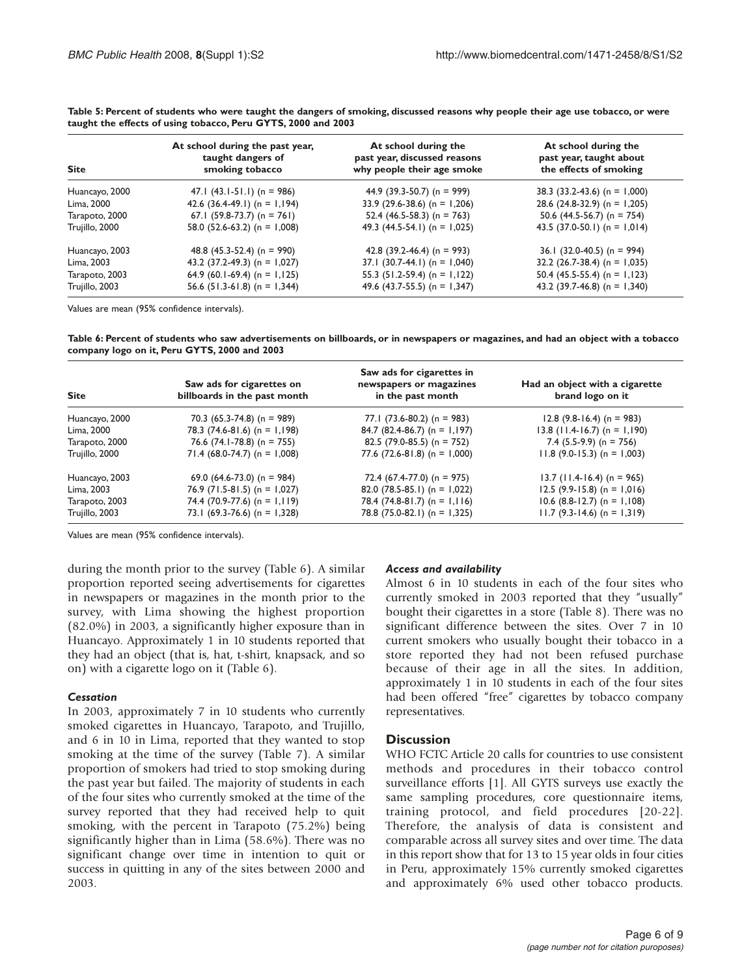| <b>Site</b>    | At school during the past year,<br>taught dangers of<br>smoking tobacco | At school during the<br>past year, discussed reasons<br>why people their age smoke | At school during the<br>past year, taught about<br>the effects of smoking |
|----------------|-------------------------------------------------------------------------|------------------------------------------------------------------------------------|---------------------------------------------------------------------------|
| Huancayo, 2000 | 47.1 $(43.1 - 51.1)$ (n = 986)                                          | 44.9 (39.3-50.7) (n = 999)                                                         | 38.3 (33.2-43.6) (n = 1,000)                                              |
| Lima, 2000     | 42.6 $(36.4-49.1)$ (n = 1,194)                                          | 33.9 (29.6-38.6) (n = 1,206)                                                       | 28.6 $(24.8-32.9)$ (n = 1,205)                                            |
| Tarapoto, 2000 | 67.1 (59.8-73.7) (n = 761)                                              | 52.4 $(46.5-58.3)$ (n = 763)                                                       | 50.6 $(44.5-56.7)$ (n = 754)                                              |
| Trujillo, 2000 | 58.0 $(52.6-63.2)$ (n = 1,008)                                          | 49.3 $(44.5-54.1)$ (n = 1,025)                                                     | 43.5 (37.0-50.1) (n = 1,014)                                              |
| Huancayo, 2003 | 48.8 $(45.3 - 52.4)$ (n = 990)                                          | 42.8 (39.2-46.4) (n = 993)                                                         | 36.1 (32.0-40.5) (n = 994)                                                |
| Lima, 2003     | 43.2 (37.2-49.3) (n = $1,027$ )                                         | $37.1$ (30.7-44.1) (n = 1,040)                                                     | $32.2$ (26.7-38.4) (n = 1,035)                                            |
| Tarapoto, 2003 | 64.9 (60.1-69.4) (n = 1,125)                                            | 55.3 $(51.2-59.4)$ (n = 1,122)                                                     | 50.4 $(45.5-55.4)$ (n = 1,123)                                            |
| Trujillo, 2003 | 56.6 $(51.3-61.8)$ (n = 1,344)                                          | 49.6 (43.7-55.5) (n = $1,347$ )                                                    | 43.2 (39.7-46.8) (n = $1,340$ )                                           |

**Table 5: Percent of students who were taught the dangers of smoking, discussed reasons why people their age use tobacco, or were taught the effects of using tobacco, Peru GYTS, 2000 and 2003**

Values are mean (95% confidence intervals).

**Table 6: Percent of students who saw advertisements on billboards, or in newspapers or magazines, and had an object with a tobacco company logo on it, Peru GYTS, 2000 and 2003**

| <b>Site</b>    | Saw ads for cigarettes on<br>billboards in the past month | Saw ads for cigarettes in<br>newspapers or magazines<br>in the past month | Had an object with a cigarette<br>brand logo on it |
|----------------|-----------------------------------------------------------|---------------------------------------------------------------------------|----------------------------------------------------|
| Huancayo, 2000 | 70.3 $(65.3-74.8)$ (n = 989)                              | 77.1 $(73.6-80.2)$ (n = 983)                                              | $12.8$ (9.8-16.4) (n = 983)                        |
| Lima, 2000     | 78.3 $(74.6-81.6)$ (n = 1,198)                            | 84.7 (82.4-86.7) (n = 1,197)                                              | $13.8$ (11.4-16.7) (n = 1,190)                     |
| Tarapoto, 2000 | 76.6 $(74.1-78.8)$ (n = 755)                              | 82.5 (79.0-85.5) (n = 752)                                                | 7.4 $(5.5-9.9)$ (n = 756)                          |
| Trujillo, 2000 | $71.4$ (68.0-74.7) (n = 1,008)                            | 77.6 $(72.6 - 81.8)$ (n = 1,000)                                          | $11.8$ (9.0-15.3) (n = 1,003)                      |
| Huancayo, 2003 | 69.0 $(64.6 - 73.0)$ (n = 984)                            | 72.4 $(67.4 - 77.0)$ (n = 975)                                            | $13.7$ (11.4-16.4) (n = 965)                       |
| Lima, 2003     | $76.9$ (71.5-81.5) (n = 1,027)                            | 82.0 $(78.5-85.1)$ (n = 1,022)                                            | $12.5$ (9.9-15.8) (n = 1,016)                      |
| Tarapoto, 2003 | 74.4 (70.9-77.6) (n = 1,119)                              | 78.4 $(74.8-81.7)$ (n = 1,116)                                            | $10.6$ (8.8-12.7) (n = 1,108)                      |
| Trujillo, 2003 | 73.1 $(69.3-76.6)$ (n = 1,328)                            | 78.8 $(75.0-82.1)$ (n = 1,325)                                            | $11.7$ (9.3-14.6) (n = 1,319)                      |

Values are mean (95% confidence intervals).

during the month prior to the survey (Table 6). A similar proportion reported seeing advertisements for cigarettes in newspapers or magazines in the month prior to the survey, with Lima showing the highest proportion (82.0%) in 2003, a significantly higher exposure than in Huancayo. Approximately 1 in 10 students reported that they had an object (that is, hat, t-shirt, knapsack, and so on) with a cigarette logo on it (Table 6).

#### *Cessation*

In 2003, approximately 7 in 10 students who currently smoked cigarettes in Huancayo, Tarapoto, and Trujillo, and 6 in 10 in Lima, reported that they wanted to stop smoking at the time of the survey (Table 7). A similar proportion of smokers had tried to stop smoking during the past year but failed. The majority of students in each of the four sites who currently smoked at the time of the survey reported that they had received help to quit smoking, with the percent in Tarapoto (75.2%) being significantly higher than in Lima (58.6%). There was no significant change over time in intention to quit or success in quitting in any of the sites between 2000 and 2003.

#### *Access and availability*

Almost 6 in 10 students in each of the four sites who currently smoked in 2003 reported that they "usually" bought their cigarettes in a store (Table 8). There was no significant difference between the sites. Over 7 in 10 current smokers who usually bought their tobacco in a store reported they had not been refused purchase because of their age in all the sites. In addition, approximately 1 in 10 students in each of the four sites had been offered "free" cigarettes by tobacco company representatives.

#### **Discussion**

WHO FCTC Article 20 calls for countries to use consistent methods and procedures in their tobacco control surveillance efforts [1]. All GYTS surveys use exactly the same sampling procedures, core questionnaire items, training protocol, and field procedures [20-22]. Therefore, the analysis of data is consistent and comparable across all survey sites and over time. The data in this report show that for 13 to 15 year olds in four cities in Peru, approximately 15% currently smoked cigarettes and approximately 6% used other tobacco products.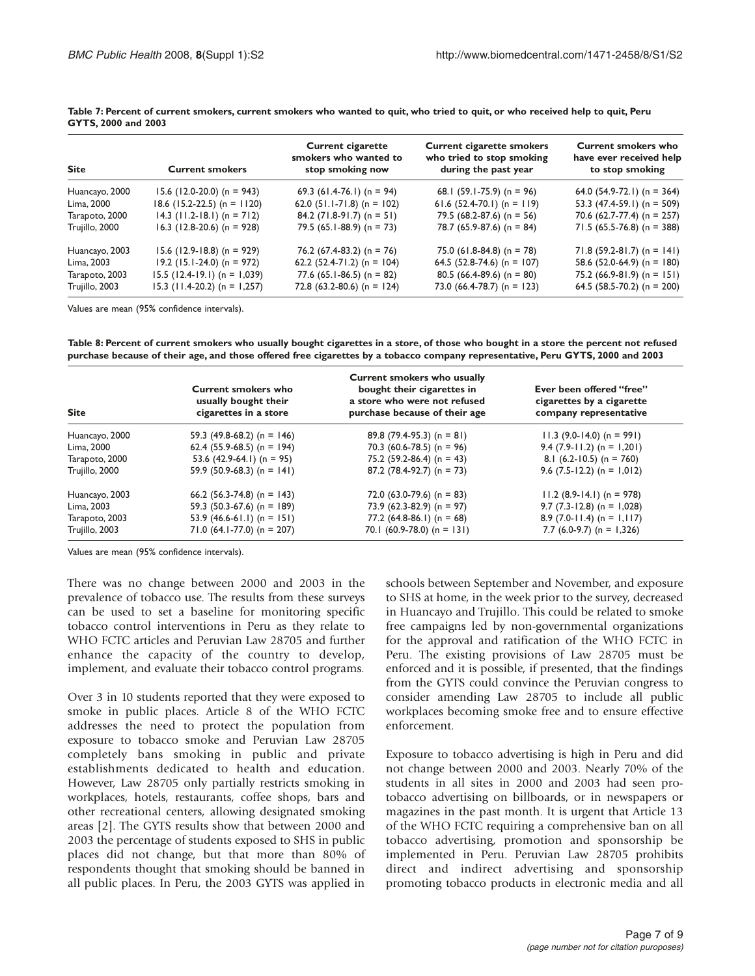| <b>Site</b>    | <b>Current smokers</b>         | <b>Current cigarette</b><br>smokers who wanted to<br>stop smoking now | <b>Current cigarette smokers</b><br>who tried to stop smoking<br>during the past year | <b>Current smokers who</b><br>have ever received help<br>to stop smoking |
|----------------|--------------------------------|-----------------------------------------------------------------------|---------------------------------------------------------------------------------------|--------------------------------------------------------------------------|
| Huancayo, 2000 | $15.6$ (12.0-20.0) (n = 943)   | 69.3 (61.4-76.1) (n = 94)                                             | 68.1 $(59.1 - 75.9)$ (n = 96)                                                         | 64.0 $(54.9-72.1)$ (n = 364)                                             |
| Lima, 2000     | $18.6$ (15.2-22.5) (n = 1120)  | 62.0 $(51.1 - 71.8)$ (n = 102)                                        | 61.6 (52.4-70.1) (n = 119)                                                            | 53.3 $(47.4-59.1)$ (n = 509)                                             |
| Tarapoto, 2000 | $14.3$ (11.2-18.1) (n = 712)   | $84.2$ (71.8-91.7) (n = 51)                                           | 79.5 $(68.2 - 87.6)$ (n = 56)                                                         | 70.6 (62.7-77.4) (n = 257)                                               |
| Trujillo, 2000 | $16.3$ (12.8-20.6) (n = 928)   | 79.5 $(65.1 - 88.9)$ (n = 73)                                         | 78.7 $(65.9-87.6)$ (n = 84)                                                           | $71.5$ (65.5-76.8) (n = 388)                                             |
| Huancayo, 2003 | $15.6$ (12.9-18.8) (n = 929)   | 76.2 $(67.4-83.2)$ (n = 76)                                           | 75.0 (61.8-84.8) (n = 78)                                                             | $71.8$ (59.2-81.7) (n = 141)                                             |
| Lima, 2003     | $19.2$ (15.1-24.0) (n = 972)   | 62.2 (52.4-71.2) (n = $104$ )                                         | 64.5 (52.8-74.6) (n = 107)                                                            | 58.6 $(52.0-64.9)$ (n = 180)                                             |
| Tarapoto, 2003 | $15.5$ (12.4-19.1) (n = 1,039) | 77.6 $(65.1 - 86.5)$ (n = 82)                                         | 80.5 (66.4-89.6) (n = 80)                                                             | 75.2 $(66.9 - 81.9)$ (n = 151)                                           |
| Trujillo, 2003 | $15.3$ (11.4-20.2) (n = 1,257) | 72.8 (63.2-80.6) (n = 124)                                            | 73.0 $(66.4-78.7)$ (n = 123)                                                          | 64.5 (58.5-70.2) (n = 200)                                               |

**Table 7: Percent of current smokers, current smokers who wanted to quit, who tried to quit, or who received help to quit, Peru GYTS, 2000 and 2003**

Values are mean (95% confidence intervals).

**Table 8: Percent of current smokers who usually bought cigarettes in a store, of those who bought in a store the percent not refused purchase because of their age, and those offered free cigarettes by a tobacco company representative, Peru GYTS, 2000 and 2003**

| <b>Site</b>    | <b>Current smokers who</b><br>usually bought their<br>cigarettes in a store | <b>Current smokers who usually</b><br>bought their cigarettes in<br>a store who were not refused<br>purchase because of their age | Ever been offered "free"<br>cigarettes by a cigarette<br>company representative |
|----------------|-----------------------------------------------------------------------------|-----------------------------------------------------------------------------------------------------------------------------------|---------------------------------------------------------------------------------|
| Huancayo, 2000 | 59.3 (49.8-68.2) (n = 146)                                                  | 89.8 (79.4-95.3) (n = 81)                                                                                                         | $11.3$ (9.0-14.0) (n = 991)                                                     |
| Lima, 2000     | 62.4 (55.9-68.5) (n = 194)                                                  | 70.3 (60.6-78.5) (n = 96)                                                                                                         | $9.4$ (7.9-11.2) (n = 1,201)                                                    |
| Tarapoto, 2000 | 53.6 $(42.9-64.1)$ (n = 95)                                                 | 75.2 $(59.2 - 86.4)$ (n = 43)                                                                                                     | 8.1 $(6.2 - 10.5)$ (n = 760)                                                    |
| Trujillo, 2000 | 59.9 (50.9-68.3) (n = 141)                                                  | 87.2 $(78.4-92.7)$ (n = 73)                                                                                                       | 9.6 $(7.5 - 12.2)$ (n = 1,012)                                                  |
| Huancayo, 2003 | 66.2 $(56.3-74.8)$ (n = 143)                                                | 72.0 $(63.0-79.6)$ (n = 83)                                                                                                       | $11.2$ (8.9-14.1) (n = 978)                                                     |
| Lima, 2003     | 59.3 $(50.3-67.6)$ (n = 189)                                                | 73.9 $(62.3-82.9)$ (n = 97)                                                                                                       | $9.7$ (7.3-12.8) (n = 1,028)                                                    |
| Tarapoto, 2003 | 53.9 $(46.6-61.1)$ (n = 151)                                                | 77.2 $(64.8-86.1)$ (n = 68)                                                                                                       | 8.9 $(7.0-11.4)$ (n = 1,117)                                                    |
| Trujillo, 2003 | $71.0$ (64.1-77.0) (n = 207)                                                | 70.1 (60.9-78.0) (n = 131)                                                                                                        | 7.7 $(6.0-9.7)$ (n = 1,326)                                                     |

Values are mean (95% confidence intervals).

There was no change between 2000 and 2003 in the prevalence of tobacco use. The results from these surveys can be used to set a baseline for monitoring specific tobacco control interventions in Peru as they relate to WHO FCTC articles and Peruvian Law 28705 and further enhance the capacity of the country to develop, implement, and evaluate their tobacco control programs.

Over 3 in 10 students reported that they were exposed to smoke in public places. Article 8 of the WHO FCTC addresses the need to protect the population from exposure to tobacco smoke and Peruvian Law 28705 completely bans smoking in public and private establishments dedicated to health and education. However, Law 28705 only partially restricts smoking in workplaces, hotels, restaurants, coffee shops, bars and other recreational centers, allowing designated smoking areas [2]. The GYTS results show that between 2000 and 2003 the percentage of students exposed to SHS in public places did not change, but that more than 80% of respondents thought that smoking should be banned in all public places. In Peru, the 2003 GYTS was applied in

schools between September and November, and exposure to SHS at home, in the week prior to the survey, decreased in Huancayo and Trujillo. This could be related to smoke free campaigns led by non-governmental organizations for the approval and ratification of the WHO FCTC in Peru. The existing provisions of Law 28705 must be enforced and it is possible, if presented, that the findings from the GYTS could convince the Peruvian congress to consider amending Law 28705 to include all public workplaces becoming smoke free and to ensure effective enforcement.

Exposure to tobacco advertising is high in Peru and did not change between 2000 and 2003. Nearly 70% of the students in all sites in 2000 and 2003 had seen protobacco advertising on billboards, or in newspapers or magazines in the past month. It is urgent that Article 13 of the WHO FCTC requiring a comprehensive ban on all tobacco advertising, promotion and sponsorship be implemented in Peru. Peruvian Law 28705 prohibits direct and indirect advertising and sponsorship promoting tobacco products in electronic media and all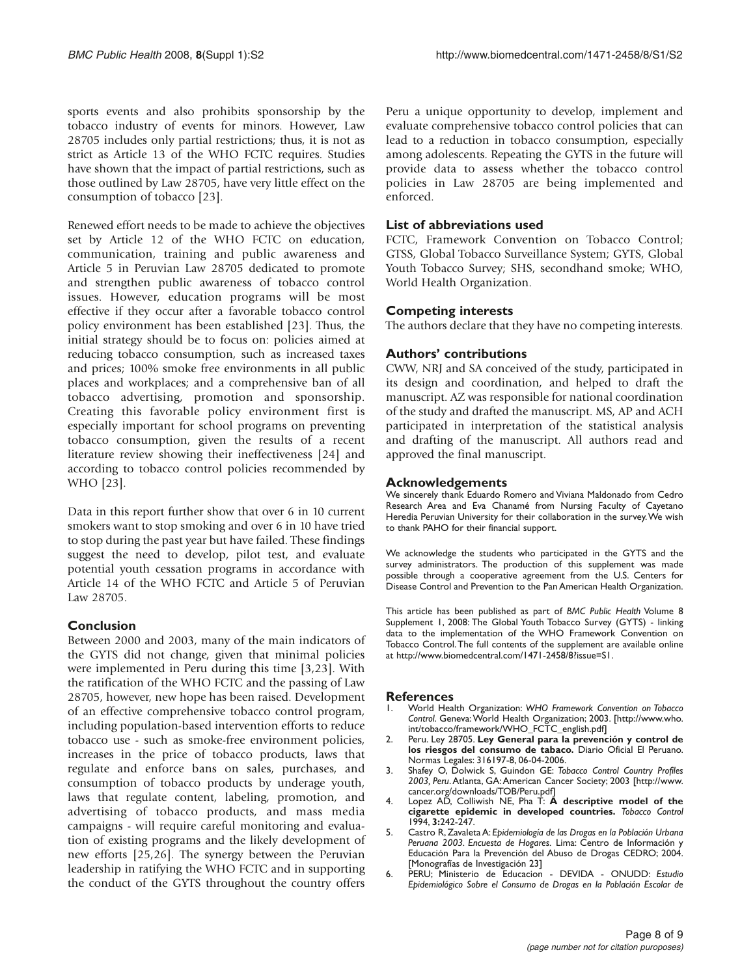sports events and also prohibits sponsorship by the tobacco industry of events for minors. However, Law 28705 includes only partial restrictions; thus, it is not as strict as Article 13 of the WHO FCTC requires. Studies have shown that the impact of partial restrictions, such as those outlined by Law 28705, have very little effect on the consumption of tobacco [23].

Renewed effort needs to be made to achieve the objectives set by Article 12 of the WHO FCTC on education, communication, training and public awareness and Article 5 in Peruvian Law 28705 dedicated to promote and strengthen public awareness of tobacco control issues. However, education programs will be most effective if they occur after a favorable tobacco control policy environment has been established [23]. Thus, the initial strategy should be to focus on: policies aimed at reducing tobacco consumption, such as increased taxes and prices; 100% smoke free environments in all public places and workplaces; and a comprehensive ban of all tobacco advertising, promotion and sponsorship. Creating this favorable policy environment first is especially important for school programs on preventing tobacco consumption, given the results of a recent literature review showing their ineffectiveness [24] and according to tobacco control policies recommended by WHO [23].

Data in this report further show that over 6 in 10 current smokers want to stop smoking and over 6 in 10 have tried to stop during the past year but have failed. These findings suggest the need to develop, pilot test, and evaluate potential youth cessation programs in accordance with Article 14 of the WHO FCTC and Article 5 of Peruvian Law 28705.

#### **Conclusion**

Between 2000 and 2003, many of the main indicators of the GYTS did not change, given that minimal policies were implemented in Peru during this time [3,23]. With the ratification of the WHO FCTC and the passing of Law 28705, however, new hope has been raised. Development of an effective comprehensive tobacco control program, including population-based intervention efforts to reduce tobacco use - such as smoke-free environment policies, increases in the price of tobacco products, laws that regulate and enforce bans on sales, purchases, and consumption of tobacco products by underage youth, laws that regulate content, labeling, promotion, and advertising of tobacco products, and mass media campaigns - will require careful monitoring and evaluation of existing programs and the likely development of new efforts [25,26]. The synergy between the Peruvian leadership in ratifying the WHO FCTC and in supporting the conduct of the GYTS throughout the country offers

Peru a unique opportunity to develop, implement and evaluate comprehensive tobacco control policies that can lead to a reduction in tobacco consumption, especially among adolescents. Repeating the GYTS in the future will provide data to assess whether the tobacco control policies in Law 28705 are being implemented and enforced.

#### **List of abbreviations used**

FCTC, Framework Convention on Tobacco Control; GTSS, Global Tobacco Surveillance System; GYTS, Global Youth Tobacco Survey; SHS, secondhand smoke; WHO, World Health Organization.

#### **Competing interests**

The authors declare that they have no competing interests.

#### **Authors' contributions**

CWW, NRJ and SA conceived of the study, participated in its design and coordination, and helped to draft the manuscript. AZ was responsible for national coordination of the study and drafted the manuscript. MS, AP and ACH participated in interpretation of the statistical analysis and drafting of the manuscript. All authors read and approved the final manuscript.

#### **Acknowledgements**

We sincerely thank Eduardo Romero and Viviana Maldonado from Cedro Research Area and Eva Chanamé from Nursing Faculty of Cayetano Heredia Peruvian University for their collaboration in the survey.We wish to thank PAHO for their financial support.

We acknowledge the students who participated in the GYTS and the survey administrators. The production of this supplement was made possible through a cooperative agreement from the U.S. Centers for Disease Control and Prevention to the Pan American Health Organization.

This article has been published as part of *BMC Public Health* Volume 8 Supplement 1, 2008: The Global Youth Tobacco Survey (GYTS) - linking data to the implementation of the WHO Framework Convention on Tobacco Control.The full contents of the supplement are available online at http://www.biomedcentral.com/1471-2458/8?issue=S1.

#### **References**

- 1. World Health Organization: *WHO Framework Convention on Tobacco Control*. Geneva: World Health Organization; 2003. [http://www.who. int/tobacco/framework/WHO\_FCTC\_english.pdf]
- 2. Peru. Ley 28705. **Ley General para la prevención y control de los riesgos del consumo de tabaco.** Diario Oficial El Peruano. Normas Legales: 316197-8, 06-04-2006.
- 3. Shafey O, Dolwick S, Guindon GE: *Tobacco Control Country Profiles 2003, Peru*.Atlanta, GA:American Cancer Society; 2003 [http://www. cancer.org/downloads/TOB/Peru.pdf]
- 4. Lopez AD, Colliwish NE, Pha T: **A descriptive model of the cigarette epidemic in developed countries.** *Tobacco Control* 1994, **3:**242-247.
- 5. Castro R, Zavaleta A: *Epidemiología de las Drogas en la Población Urbana Peruana 2003. Encuesta de Hogares.* Lima: Centro de Información y Educación Para la Prevención del Abuso de Drogas CEDRO; 2004. [Monografías de Investigación 23]
- 6. PERU; Ministerio de Educacion DEVIDA ONUDD: *Estudio Epidemiológico Sobre el Consumo de Drogas en la Población Escolar de*